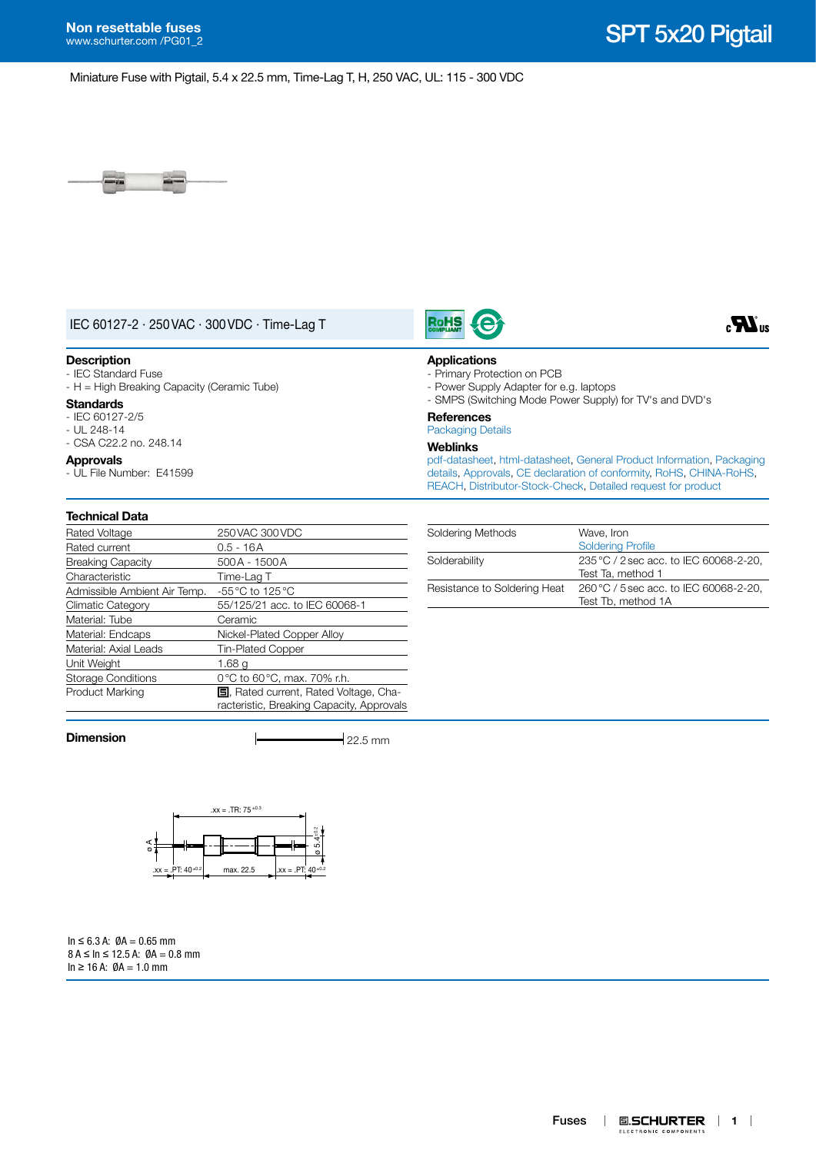$\mathbf{R}_3$ 

Miniature Fuse with Pigtail, 5.4 x 22.5 mm, Time-Lag T, H, 250 VAC, UL: 115 - 300 VDC



# IEC 60127-2 · 250VAC · 300VDC · Time-Lag T

### **Description**

- IEC Standard Fuse - H = High Breaking Capacity (Ceramic Tube)

### **Standards**

- IEC 60127-2/5 - UL 248-14 - CSA C22.2 no. 248.14

## **Approvals**

- UL File Number: E41599

# **Technical Data**

| Rated Voltage                | 250 VAC 300 VDC                                                                            |
|------------------------------|--------------------------------------------------------------------------------------------|
| Rated current                | $0.5 - 16A$                                                                                |
| <b>Breaking Capacity</b>     | 500A - 1500A                                                                               |
| Characteristic               | Time-Lag T                                                                                 |
| Admissible Ambient Air Temp. | $-55\,^{\circ}\text{C}$ to 125 $^{\circ}\text{C}$                                          |
| <b>Climatic Category</b>     | 55/125/21 acc. to IEC 60068-1                                                              |
| Material: Tube               | Ceramic                                                                                    |
| Material: Endcaps            | Nickel-Plated Copper Alloy                                                                 |
| Material: Axial Leads        | <b>Tin-Plated Copper</b>                                                                   |
| Unit Weight                  | 1.68 a                                                                                     |
| <b>Storage Conditions</b>    | 0°C to 60°C, max. 70% r.h.                                                                 |
| Product Marking              | <b>国</b> , Rated current, Rated Voltage, Cha-<br>racteristic, Breaking Capacity, Approvals |

**Dimension**  $\longleftarrow$  22.5 mm



 $In ≤ 6.3 A: ∅A = 0.65 mm$  $8 A \leq \ln \leq 12.5 A$ :  $\emptyset A = 0.8$  mm  $In ≥ 16 A: ∅A = 1.0 mm$ 



**RoHS** 

- Primary Protection on PCB
- 
- Power Supply Adapter for e.g. laptops
- SMPS (Switching Mode Power Supply) for TV's and DVD's

# **References**

# [Packaging Details](http://www.schurter.ch/en/data/download/19867)

# **Weblinks**

[pdf-datasheet](http://www.schurter.ch/pdf/english/typ_SPT_5x20_Pigtail.pdf), [html-datasheet](http://www.schurter.ch/en/datasheet/SPT%205x20%20Pigtail), [General Product Information,](http://www.schurter.ch/products/fuses_general_info.asp?language_id=0) [Packaging](http://www.schurter.ch/data/download/19867)  [details,](http://www.schurter.ch/data/download/19867) [Approvals,](http://www.schurter.ch/en//Documents-References/Approvals/(id)/Field+producttype=SPT) [CE declaration of conformity,](http://www.schurter.com/en//Documents-References/Approvals/(id)/Field+producttype=SPT+AND+FIELD+CertificationInstitute=SAG) [RoHS,](http://www.schurter.com/rohs) [CHINA-RoHS](http://www.schurter.com/China-RoHS), [REACH](http://www.schurter.ch/REACH), [Distributor-Stock-Check,](http://www.schurter.com/Stock-Check/Stock-Check-Distributor?partnumber1=SPT) [Detailed request for product](http://www.schurter.com/en/Contacts/Contact-Form?type=SPT_5x20_Pigtail)

| Soldering Methods            | Wave, Iron<br><b>Soldering Profile</b>                       |
|------------------------------|--------------------------------------------------------------|
| Solderability                | 235 °C / 2 sec acc. to IEC 60068-2-20,<br>Test Ta, method 1  |
| Resistance to Soldering Heat | 260 °C / 5 sec acc. to IEC 60068-2-20,<br>Test Tb. method 1A |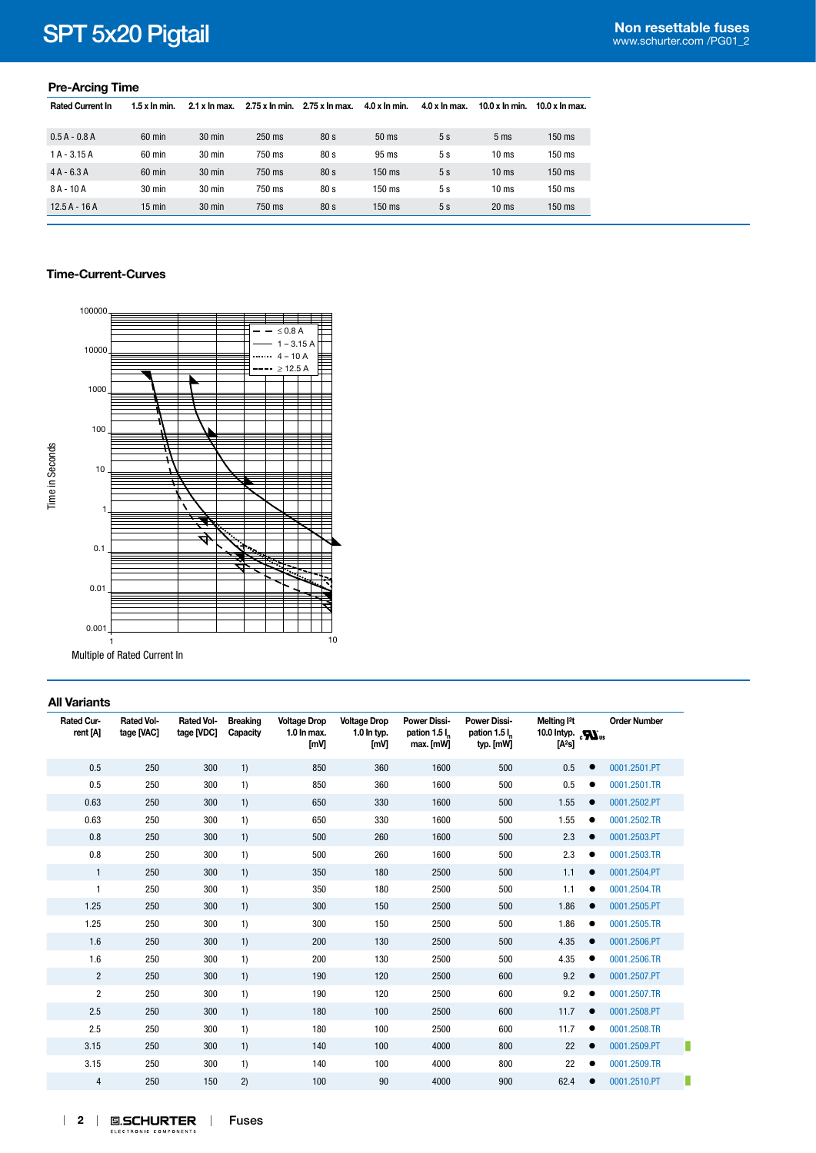# **Non resettable fuses** SPT 5x20 Pigtail [www.schurter.com /PG01\\_2](http://www.schurter.com/PG01_2)

## **Pre-Arcing Time**

| <b>Rated Current In</b> | $1.5x$ In min.   | 2.1 x ln max.    | 2.75 x In min. | 2.75 x ln max.  | $4.0 x$ In min. | $4.0 x$ In max. | $10.0 x$ In min. | 10.0 $x$ In max. |
|-------------------------|------------------|------------------|----------------|-----------------|-----------------|-----------------|------------------|------------------|
|                         |                  |                  |                |                 |                 |                 |                  |                  |
| $0.5A - 0.8A$           | $60$ min         | 30 min           | 250 ms         | 80 <sub>s</sub> | $50$ ms         | 5s              | 5 <sub>ms</sub>  | $150$ ms         |
| $1A - 3.15A$            | $60 \text{ min}$ | $30 \text{ min}$ | 750 ms         | 80 <sub>s</sub> | $95 \text{ ms}$ | 5s              | 10 <sub>ms</sub> | 150 ms           |
| $4A - 6.3A$             | 60 min           | $30 \text{ min}$ | 750 ms         | 80 <sub>s</sub> | 150 ms          | 5s              | 10 <sub>ms</sub> | $150$ ms         |
| $8A - 10A$              | $30 \text{ min}$ | 30 min           | 750 ms         | 80 <sub>s</sub> | 150 ms          | 5s              | 10 <sub>ms</sub> | 150 ms           |
| $12.5A - 16A$           | $15$ min         | 30 min           | 750 ms         | 80 <sub>s</sub> | 150 ms          | 5s              | 20 <sub>ms</sub> | 150 ms           |

## **Time-Current-Curves**



# **All Variants**

| Rated Cur-<br>rent [A] | <b>Rated Vol-</b><br>tage [VAC] | <b>Rated Vol-</b><br>tage [VDC] | <b>Breaking</b><br>Capacity | <b>Voltage Drop</b><br>1.0 In max.<br>[mV] | <b>Voltage Drop</b><br>$1.0$ In typ.<br>[mV] | <b>Power Dissi-</b><br>pation 1.5 l <sub>n</sub><br>max. [mW] | <b>Power Dissi-</b><br>pation 1.5 l<br>typ. [mW] | Melting <sup>2</sup> t<br>10.0 Intyp. $\sum_{\text{us}}$<br>[A <sup>2</sup> s] | <b>Order Number</b> |
|------------------------|---------------------------------|---------------------------------|-----------------------------|--------------------------------------------|----------------------------------------------|---------------------------------------------------------------|--------------------------------------------------|--------------------------------------------------------------------------------|---------------------|
| 0.5                    | 250                             | 300                             | 1)                          | 850                                        | 360                                          | 1600                                                          | 500                                              | 0.5<br>$\bullet$                                                               | 0001.2501.PT        |
| 0.5                    | 250                             | 300                             | 1)                          | 850                                        | 360                                          | 1600                                                          | 500                                              | 0.5<br>$\bullet$                                                               | 0001.2501.TR        |
| 0.63                   | 250                             | 300                             | 1)                          | 650                                        | 330                                          | 1600                                                          | 500                                              | 1.55<br>$\bullet$                                                              | 0001.2502.PT        |
| 0.63                   | 250                             | 300                             | 1)                          | 650                                        | 330                                          | 1600                                                          | 500                                              | 1.55<br>$\bullet$                                                              | 0001.2502.TR        |
| 0.8                    | 250                             | 300                             | 1)                          | 500                                        | 260                                          | 1600                                                          | 500                                              | 2.3<br>$\bullet$                                                               | 0001.2503.PT        |
| 0.8                    | 250                             | 300                             | 1)                          | 500                                        | 260                                          | 1600                                                          | 500                                              | 2.3<br>٠                                                                       | 0001.2503.TR        |
| $\mathbf{1}$           | 250                             | 300                             | 1)                          | 350                                        | 180                                          | 2500                                                          | 500                                              | 1.1<br>$\bullet$                                                               | 0001.2504.PT        |
| $\mathbf{1}$           | 250                             | 300                             | 1)                          | 350                                        | 180                                          | 2500                                                          | 500                                              | 1.1<br>$\bullet$                                                               | 0001.2504.TR        |
| 1.25                   | 250                             | 300                             | 1)                          | 300                                        | 150                                          | 2500                                                          | 500                                              | 1.86<br>$\bullet$                                                              | 0001.2505.PT        |
| 1.25                   | 250                             | 300                             | 1)                          | 300                                        | 150                                          | 2500                                                          | 500                                              | 1.86<br>$\bullet$                                                              | 0001.2505.TR        |
| 1.6                    | 250                             | 300                             | 1)                          | 200                                        | 130                                          | 2500                                                          | 500                                              | 4.35<br>$\bullet$                                                              | 0001.2506.PT        |
| 1.6                    | 250                             | 300                             | 1)                          | 200                                        | 130                                          | 2500                                                          | 500                                              | 4.35<br>٠                                                                      | 0001.2506.TR        |
| $\overline{c}$         | 250                             | 300                             | 1)                          | 190                                        | 120                                          | 2500                                                          | 600                                              | 9.2<br>$\bullet$                                                               | 0001.2507.PT        |
| 2                      | 250                             | 300                             | 1)                          | 190                                        | 120                                          | 2500                                                          | 600                                              | 9.2<br>$\bullet$                                                               | 0001.2507.TR        |
| 2.5                    | 250                             | 300                             | 1)                          | 180                                        | 100                                          | 2500                                                          | 600                                              | 11.7<br>$\bullet$                                                              | 0001.2508.PT        |
| 2.5                    | 250                             | 300                             | 1)                          | 180                                        | 100                                          | 2500                                                          | 600                                              | 11.7<br>$\bullet$                                                              | 0001.2508.TR        |
| 3.15                   | 250                             | 300                             | 1)                          | 140                                        | 100                                          | 4000                                                          | 800                                              | 22<br>$\bullet$                                                                | 0001.2509.PT        |
| 3.15                   | 250                             | 300                             | 1)                          | 140                                        | 100                                          | 4000                                                          | 800                                              | 22<br>٠                                                                        | 0001.2509.TR        |
| 4                      | 250                             | 150                             | 2)                          | 100                                        | 90                                           | 4000                                                          | 900                                              | 62.4<br>$\bullet$                                                              | 0001.2510.PT        |